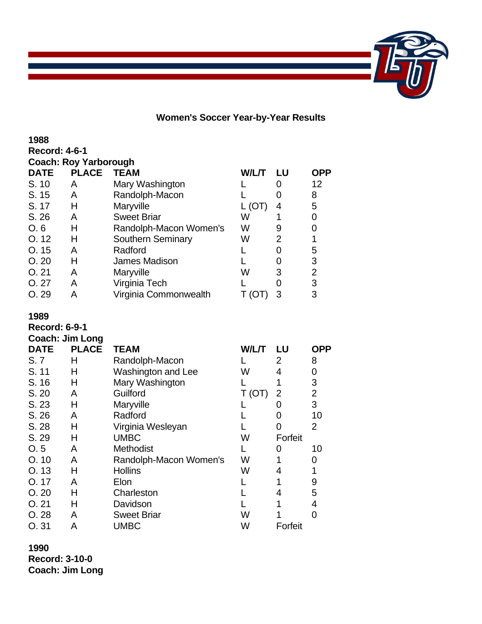

**Women's Soccer Year-by-Year Results**

**Record: 4-6-1**

| <b>Coach: Roy Yarborough</b> |  |            |  |
|------------------------------|--|------------|--|
| DATF                         |  | PLACE TEAM |  |

| <b>PLACE</b> | <b>TEAM</b>              | W/L/T | l U | <b>OPP</b>     |
|--------------|--------------------------|-------|-----|----------------|
| Α            | Mary Washington          |       |     | 12             |
| Α            | Randolph-Macon           |       |     | 8              |
| Н            | Maryville                |       |     | 5              |
| А            | <b>Sweet Briar</b>       | W     |     | 0              |
| Н            | Randolph-Macon Women's   | W     | 9   | 0              |
| н            | <b>Southern Seminary</b> | W     | 2   |                |
| А            | Radford                  |       |     | 5              |
| н            | James Madison            |       |     | 3              |
| А            | Maryville                | W     | 3   | $\overline{2}$ |
| А            | Virginia Tech            |       |     | 3              |
|              | Virginia Commonwealth    |       |     | 3              |
|              |                          |       |     |                |

### **1989**

**Record: 6-9-1**

| <b>Coach: Jim Long</b> |              |                        |        |               |                |
|------------------------|--------------|------------------------|--------|---------------|----------------|
| <b>DATE</b>            | <b>PLACE</b> | <b>TEAM</b>            | W/L/T  | LU            | OPP            |
| S. 7                   | н            | Randolph-Macon         |        | 2             | 8              |
| S. 11                  | н            | Washington and Lee     | W      | 4             | 0              |
| S. 16                  | н            | Mary Washington        |        |               | 3              |
| S. 20                  | A            | Guilford               | T (OT) | 2             | $\overline{2}$ |
| S. 23                  | н            | Maryville              |        | $\mathcal{O}$ | 3              |
| S.26                   | A            | Radford                |        | $\Omega$      | 10             |
| S. 28                  | н            | Virginia Wesleyan      |        | 0             | $\overline{2}$ |
| S. 29                  | н            | <b>UMBC</b>            | W      | Forfeit       |                |
| O.5                    | A            | Methodist              |        | O             | 10             |
| O.10                   | A            | Randolph-Macon Women's | W      |               | 0              |
| O. 13                  | н            | <b>Hollins</b>         | W      | 4             |                |
| O.17                   | A            | Elon                   |        |               | 9              |
| O.20                   | н            | Charleston             |        | 4             | 5              |
| O.21                   | н            | Davidson               |        |               | 4              |
| O.28                   | A            | <b>Sweet Briar</b>     | W      |               | 0              |
| O.31                   | А            | UMBC                   | W      | Forfeit       |                |

**1990**

**Record: 3-10-0 Coach: Jim Long**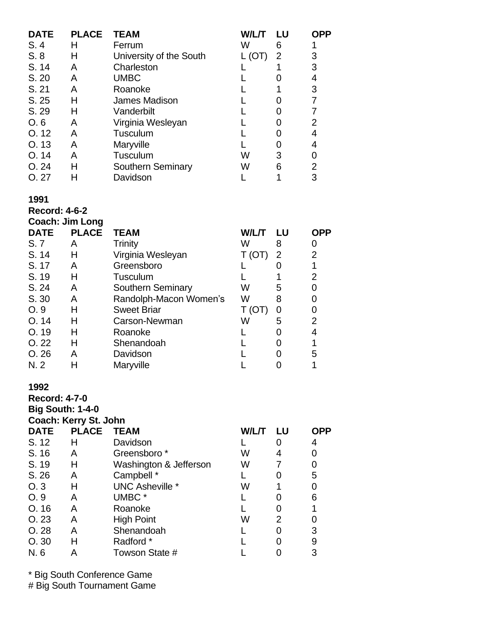| <b>DATE</b> | <b>PLACE</b> | <b>TEAM</b>              | W/L/T | LU | OPP |
|-------------|--------------|--------------------------|-------|----|-----|
| S.4         | н            | Ferrum                   | w     | 6  |     |
| S.8         | Н            | University of the South  | (OT)  | 2  | 3   |
| S. 14       | A            | Charleston               |       |    | 3   |
| S. 20       | A            | <b>UMBC</b>              |       |    | 4   |
| S. 21       | A            | Roanoke                  |       |    | 3   |
| S. 25       | н            | James Madison            |       |    |     |
| S. 29       | н            | Vanderbilt               |       |    |     |
| O, 6        | A            | Virginia Wesleyan        |       |    | 2   |
| O.12        | A            | Tusculum                 |       |    | 4   |
| O.13        | A            | Maryville                |       |    | 4   |
| O.14        | A            | Tusculum                 | W     | 3  | 0   |
| O.24        | Н            | <b>Southern Seminary</b> | W     | 6  | 2   |
| O. 27       | н            | Davidson                 |       |    | 3   |

## **1991**

**Record: 4-6-2**

| <b>Coach: Jim Long</b> |              |                          |                        |    |            |  |  |
|------------------------|--------------|--------------------------|------------------------|----|------------|--|--|
| <b>DATE</b>            | <b>PLACE</b> | <b>TEAM</b>              | <b>W/L/T</b>           | LU | <b>OPP</b> |  |  |
| S. 7                   | A            | Trinity                  | W                      | 8  | 0          |  |  |
| S. 14                  | Н            | Virginia Wesleyan        | (OT)                   | 2  | 2          |  |  |
| S. 17                  | A            | Greensboro               |                        |    |            |  |  |
| S. 19                  | Н            | Tusculum                 |                        |    | 2          |  |  |
| S. 24                  | A            | <b>Southern Seminary</b> | W                      | 5  | O          |  |  |
| S. 30                  | A            | Randolph-Macon Women's   | W                      | 8  | O          |  |  |
| O.9                    | н            | <b>Sweet Briar</b>       | $\left(  \cup \right)$ |    | 0          |  |  |
| O.14                   | Н            | Carson-Newman            | W                      | 5  | 2          |  |  |
| O. 19                  | н            | Roanoke                  |                        |    | 4          |  |  |
| O.22                   | н            | Shenandoah               |                        |    |            |  |  |
| O.26                   | A            | Davidson                 |                        |    | 5          |  |  |
| N. 2                   |              | Maryville                |                        |    |            |  |  |

# **1992**

**Record: 4-7-0**

**Big South: 1-4-0 Coach: Kerry St. John**

| <b>DATE</b> | <b>PLACE</b> | <b>TEAM</b>            | W/L/T | LU | <b>OPP</b> |
|-------------|--------------|------------------------|-------|----|------------|
| S. 12       | н            | Davidson               |       |    | 4          |
| S. 16       | А            | Greensboro*            | w     |    | 0          |
| S. 19       | Н            | Washington & Jefferson | W     |    | 0          |
| S.26        | Α            | Campbell *             |       |    | 5          |
| O.3         | н            | <b>UNC Asheville *</b> | W     |    |            |
| O.9         | А            | UMBC <sup>*</sup>      |       |    | 6          |
| O.16        | А            | Roanoke                |       |    |            |
| O.23        | А            | <b>High Point</b>      | W     | 2  |            |
| O.28        | А            | Shenandoah             |       |    | 3          |
| O.30        | H            | Radford *              |       |    | 9          |
| N. 6        |              | Towson State #         |       |    | 3          |

\* Big South Conference Game

# Big South Tournament Game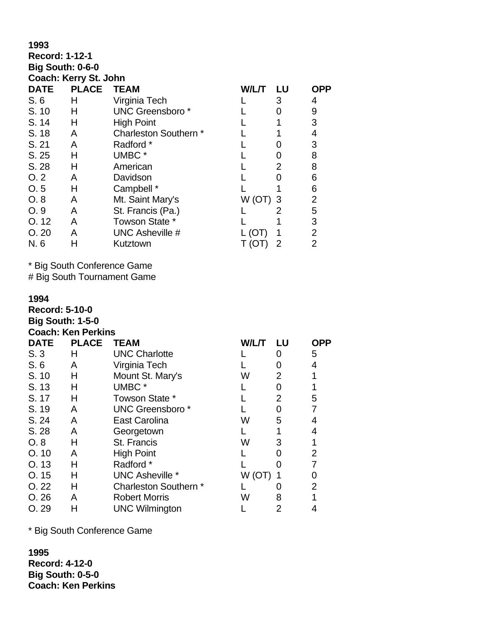| 1993                  |                       |                         |         |                |                |  |  |  |
|-----------------------|-----------------------|-------------------------|---------|----------------|----------------|--|--|--|
| <b>Record: 1-12-1</b> |                       |                         |         |                |                |  |  |  |
|                       | Big South: 0-6-0      |                         |         |                |                |  |  |  |
|                       | Coach: Kerry St. John |                         |         |                |                |  |  |  |
| <b>DATE</b>           | <b>PLACE</b>          | <b>TEAM</b>             | W/L/T   | LU             | OPP            |  |  |  |
| S.6                   | Н                     | Virginia Tech           |         | 3              | 4              |  |  |  |
| S. 10                 | н                     | <b>UNC Greensboro</b> * |         | 0              | 9              |  |  |  |
| S. 14                 | Н                     | <b>High Point</b>       |         |                | 3              |  |  |  |
| S. 18                 | A                     | Charleston Southern *   |         |                | 4              |  |  |  |
| S. 21                 | A                     | Radford *               |         | 0              | 3              |  |  |  |
| S.25                  | н                     | UMBC *                  |         | 0              | 8              |  |  |  |
| S. 28                 | н                     | American                |         | 2              | 8              |  |  |  |
| O.2                   | A                     | Davidson                |         | 0              | 6              |  |  |  |
| O.5                   | Н                     | Campbell *              |         |                | 6              |  |  |  |
| O. 8                  | A                     | Mt. Saint Mary's        | (VCT) W | 3              | $\overline{2}$ |  |  |  |
| O.9                   | A                     | St. Francis (Pa.)       |         | 2              | 5              |  |  |  |
| O. 12                 | A                     | Towson State *          |         |                | 3              |  |  |  |
| O.20                  | A                     | <b>UNC Asheville #</b>  | (O)     |                | 2              |  |  |  |
| N. 6                  |                       | Kutztown                | (OI)    | $\overline{2}$ | 2              |  |  |  |

# Big South Tournament Game

### **1994**

**Record: 5-10-0 Big South: 1-5-0**

**Coach: Ken Perkins**

| <b>DATE</b> | <b>PLACE</b> | <b>TEAM</b>            | W/L/T | LU | <b>OPP</b> |
|-------------|--------------|------------------------|-------|----|------------|
| S.3         | н            | <b>UNC Charlotte</b>   |       | O  | 5          |
| S.6         | A            | Virginia Tech          |       |    | 4          |
| S. 10       | Н            | Mount St. Mary's       | W     | 2  |            |
| S. 13       | н            | UMBC <sup>*</sup>      |       |    |            |
| S. 17       | н            | Towson State *         |       | 2  | 5          |
| S. 19       | A            | <b>UNC Greensboro*</b> |       | O  | 7          |
| S. 24       | A            | East Carolina          | W     | 5  | 4          |
| S. 28       | A            | Georgetown             |       |    | 4          |
| O.8         | н            | St. Francis            | W     | 3  | 1          |
| O.10        | A            | <b>High Point</b>      |       |    | 2          |
| O.13        | н            | Radford *              |       |    |            |
| O.15        | н            | <b>UNC Asheville *</b> | W (OT |    | 0          |
| O.22        | Н            | Charleston Southern *  |       |    | 2          |
| O.26        | A            | <b>Robert Morris</b>   | W     | 8  |            |
| O.29        | H            | <b>UNC Wilmington</b>  |       |    |            |

\* Big South Conference Game

**1995 Record: 4-12-0 Big South: 0-5-0 Coach: Ken Perkins**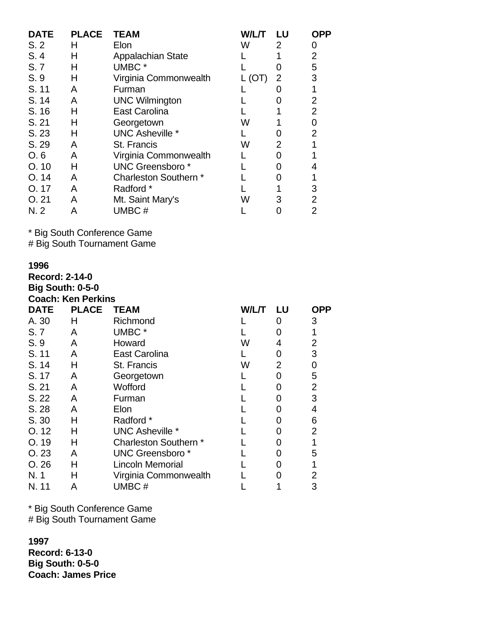| <b>DATE</b> | <b>PLACE</b> | <b>TEAM</b>              | W/L/T | LU | OPP            |
|-------------|--------------|--------------------------|-------|----|----------------|
| S.2         | н            | Elon                     | W     | 2  | 0              |
| S.4         | н            | <b>Appalachian State</b> |       |    | $\overline{2}$ |
| S. 7        | н            | UMBC <sup>*</sup>        |       |    | 5              |
| S.9         | Н            | Virginia Commonwealth    | (OT)  | 2  | 3              |
| S. 11       | A            | Furman                   |       |    | 1              |
| S. 14       | A            | <b>UNC Wilmington</b>    |       |    | 2              |
| S. 16       | н            | <b>East Carolina</b>     |       |    | 2              |
| S. 21       | н            | Georgetown               | W     |    | 0              |
| S. 23       | н            | <b>UNC Asheville *</b>   |       | O  | 2              |
| S. 29       | A            | St. Francis              | W     | 2  |                |
| O.6         | A            | Virginia Commonwealth    |       |    |                |
| O.10        | н            | <b>UNC Greensboro*</b>   |       |    | 4              |
| O.14        | A            | Charleston Southern *    |       |    |                |
| 0.17        | A            | Radford *                |       |    | 3              |
| O.21        | A            | Mt. Saint Mary's         | W     | З  | 2              |
| N. 2        | Α            | UMBC#                    |       |    | 2              |

# Big South Tournament Game

# **1996**

| <b>Record: 2-14-0</b> |                                                      |                         |       |                |                |  |  |  |  |
|-----------------------|------------------------------------------------------|-------------------------|-------|----------------|----------------|--|--|--|--|
|                       | <b>Big South: 0-5-0</b><br><b>Coach: Ken Perkins</b> |                         |       |                |                |  |  |  |  |
| <b>DATE</b>           | <b>PLACE</b>                                         | <b>TEAM</b>             | W/L/T | LU             | OPP            |  |  |  |  |
| A. 30                 | Н                                                    | Richmond                |       | O              | 3              |  |  |  |  |
| S.7                   | A                                                    | UMBC <sup>*</sup>       |       | O              | 1              |  |  |  |  |
| S.9                   | A                                                    | Howard                  | W     | 4              | 2              |  |  |  |  |
| S. 11                 | A                                                    | East Carolina           |       | O              | 3              |  |  |  |  |
| S. 14                 | н                                                    | St. Francis             | W     | $\overline{2}$ | 0              |  |  |  |  |
| S. 17                 | A                                                    | Georgetown              |       | 0              | 5              |  |  |  |  |
| S. 21                 | A                                                    | Wofford                 |       | 0              | 2              |  |  |  |  |
| S. 22                 | A                                                    | Furman                  |       | 0              | 3              |  |  |  |  |
| S. 28                 | A                                                    | Elon                    |       | 0              | 4              |  |  |  |  |
| S. 30                 | н                                                    | Radford *               |       | 0              | 6              |  |  |  |  |
| O.12                  | н                                                    | UNC Asheville *         |       | 0              | $\overline{2}$ |  |  |  |  |
| O. 19                 | н                                                    | Charleston Southern *   |       | O              | 1              |  |  |  |  |
| O.23                  | A                                                    | <b>UNC Greensboro</b> * |       | 0              | 5              |  |  |  |  |
| O.26                  | н                                                    | <b>Lincoln Memorial</b> |       | O              |                |  |  |  |  |
| N. 1                  | Н                                                    | Virginia Commonwealth   |       | O              | 2              |  |  |  |  |
| N. 11                 | Α                                                    | UMBC#                   |       |                | 3              |  |  |  |  |

\* Big South Conference Game # Big South Tournament Game

**1997 Record: 6-13-0 Big South: 0-5-0 Coach: James Price**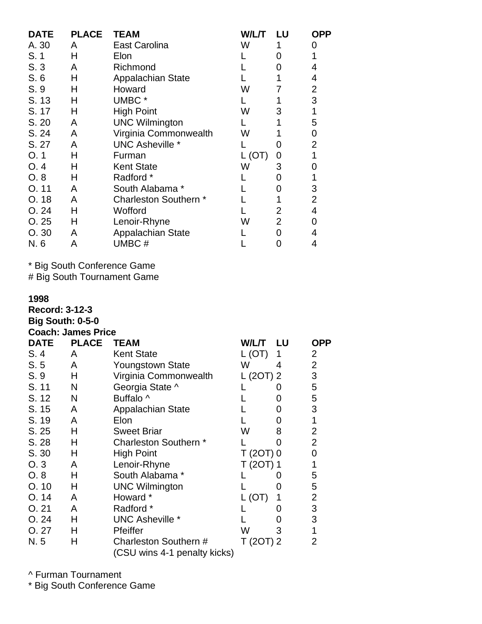| <b>DATE</b> | <b>PLACE</b> | <b>TEAM</b>            | W/L/T  | LU             | <b>OPP</b>     |
|-------------|--------------|------------------------|--------|----------------|----------------|
| A. 30       | A            | East Carolina          | W      |                | Ω              |
| S.1         | н            | Elon                   |        | 0              |                |
| S.3         | A            | Richmond               |        | 0              | 4              |
| S.6         | н            | Appalachian State      |        |                | 4              |
| S. 9        | н            | Howard                 | W      |                | 2              |
| S. 13       | н            | UMBC <sup>*</sup>      |        |                | 3              |
| S. 17       | Н            | <b>High Point</b>      | W      | 3              | 1              |
| S. 20       | A            | <b>UNC Wilmington</b>  |        |                | 5              |
| S. 24       | A            | Virginia Commonwealth  | W      |                | 0              |
| S. 27       | A            | <b>UNC Asheville *</b> |        | O)             | $\overline{2}$ |
| O.1         | Н            | Furman                 | L (OT) | 0              |                |
| O.4         | н            | <b>Kent State</b>      | W      | 3              | 0              |
| O.8         | н            | Radford *              |        | 0              |                |
| O.11        | A            | South Alabama *        |        | 0              | 3              |
| O. 18       | A            | Charleston Southern *  |        |                | 2              |
| O.24        | н            | Wofford                |        | 2              | 4              |
| O.25        | н            | Lenoir-Rhyne           | W      | $\overline{2}$ | 0              |
| O.30        | A            | Appalachian State      |        | ი              | 4              |
| N. 6        | Α            | UMBC#                  |        |                | 4              |

# Big South Tournament Game

### **1998**

**Record: 3-12-3 Big South: 0-5-0**

|      | <b>Coach: James Price</b> |
|------|---------------------------|
| DATE | DI ACE TI                 |

| <b>DATE</b> | <b>PLACE</b> | <b>TEAM</b>                                           | W/L/T      | LU                | <b>OPP</b>     |
|-------------|--------------|-------------------------------------------------------|------------|-------------------|----------------|
| S.4         | A            | <b>Kent State</b>                                     | L(OT)      | 1                 | 2              |
| S.5         | A            | Youngstown State                                      | W          | 4                 | $\overline{2}$ |
| S. 9        | Н            | Virginia Commonwealth                                 | L (20T) 2  |                   | 3              |
| S. 11       | N            | Georgia State ^                                       |            |                   | 5              |
| S. 12       | N            | Buffalo ^                                             |            | $\mathbf{\Omega}$ | 5              |
| S. 15       | A            | Appalachian State                                     |            |                   | 3              |
| S. 19       | A            | Elon                                                  |            | 0                 | 1              |
| S. 25       | Н            | <b>Sweet Briar</b>                                    | W          | 8                 | $\overline{2}$ |
| S.28        | н            | Charleston Southern *                                 |            | O                 | $\overline{2}$ |
| S. 30       | Н            | <b>High Point</b>                                     | $T(2OT)$ 0 |                   | 0              |
| O.3         | A            | Lenoir-Rhyne                                          | T (2OT) 1  |                   | 1              |
| O.8         | н            | South Alabama *                                       |            |                   | 5              |
| O.10        | Н            | <b>UNC Wilmington</b>                                 |            | 0                 | 5              |
| O.14        | A            | Howard *                                              | L(OT)      |                   | $\overline{2}$ |
| O.21        | A            | Radford *                                             |            |                   | 3              |
| O.24        | н            | UNC Asheville *                                       |            | $\mathcal{O}$     | 3              |
| O.27        | н            | Pfeiffer                                              | W          | 3                 | 1              |
| N. 5        | н            | Charleston Southern #<br>(CSU wins 4-1 penalty kicks) | T (20T) 2  |                   | 2              |

^ Furman Tournament

\* Big South Conference Game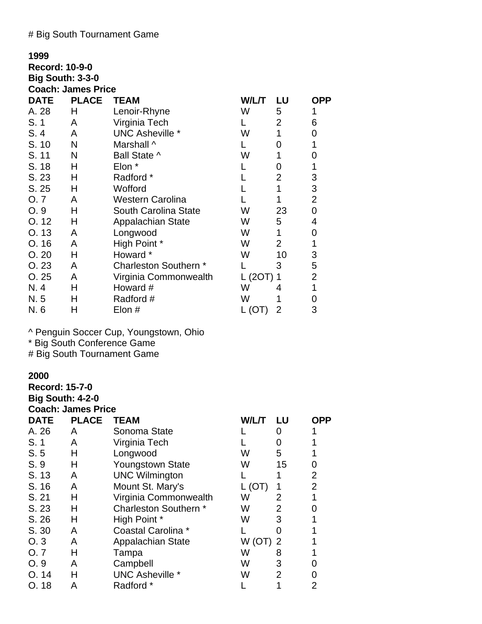# # Big South Tournament Game

| 1999                    |                           |                             |            |                |                |
|-------------------------|---------------------------|-----------------------------|------------|----------------|----------------|
| <b>Record: 10-9-0</b>   |                           |                             |            |                |                |
| <b>Big South: 3-3-0</b> |                           |                             |            |                |                |
|                         | <b>Coach: James Price</b> |                             |            |                |                |
| <b>DATE</b>             | <b>PLACE</b>              | <b>TEAM</b>                 | W/L/T      | LU             | <b>OPP</b>     |
| A. 28                   | н                         | Lenoir-Rhyne                | W          | 5              | 1              |
| S.1                     | A                         | Virginia Tech               |            | $\overline{2}$ | 6              |
| S.4                     | A                         | <b>UNC Asheville *</b>      | W          | 1              | 0              |
| S. 10                   | N                         | Marshall ^                  |            | 0              | 1              |
| S. 11                   | N                         | Ball State ^                | W          | 1              | 0              |
| S. 18                   | Н                         | Elon *                      |            | 0              | 1              |
| S. 23                   | н                         | Radford *                   |            | $\overline{2}$ | 3              |
| S.25                    | н                         | Wofford                     |            | 1              | 3              |
| O.7                     | A                         | Western Carolina            |            |                | $\overline{2}$ |
| O.9                     | н                         | <b>South Carolina State</b> | W          | 23             | 0              |
| O. 12                   | Н                         | <b>Appalachian State</b>    | W          | 5              | 4              |
| O. 13                   | A                         | Longwood                    | W          | 1              | 0              |
| O.16                    | A                         | High Point *                | W          | $\overline{2}$ | 1              |
| O.20                    | Н                         | Howard *                    | W          | 10             | 3              |
| O.23                    | A                         | Charleston Southern *       |            | 3              | 5              |
| O.25                    | A                         | Virginia Commonwealth       | $L(2OT)$ 1 |                | 2              |
| N. 4                    | н                         | Howard #                    | W          | 4              | 1              |
| N. 5                    | н                         | Radford #                   | W          |                | 0              |
| N. 6                    | Н                         | Elon #                      | L (OT)     | 2              | 3              |

^ Penguin Soccer Cup, Youngstown, Ohio

\* Big South Conference Game

# Big South Tournament Game

## **2000**

**Record: 15-7-0 Big South: 4-2-0 Coach: James Price**

| <b>DATE</b> | <b>PLACE</b> | <b>TEAM</b>             | W/L/T             | LU                | OPP            |
|-------------|--------------|-------------------------|-------------------|-------------------|----------------|
| A. 26       | A            | Sonoma State            |                   | $\mathbf{\Omega}$ |                |
| S.1         | Α            | Virginia Tech           |                   | O                 |                |
| S.5         | н            | Longwood                | W                 | 5                 |                |
| S.9         | н            | <b>Youngstown State</b> | W                 | 15                | 0              |
| S. 13       | A            | <b>UNC Wilmington</b>   |                   |                   | 2              |
| S. 16       | A            | Mount St. Mary's        | (O <sub>1</sub> ) |                   | $\overline{2}$ |
| S. 21       | н            | Virginia Commonwealth   | W                 | 2                 |                |
| S. 23       | н            | Charleston Southern *   | W                 | 2                 | 0              |
| S. 26       | н            | High Point *            | W                 | 3                 |                |
| S. 30       | A            | Coastal Carolina *      |                   |                   |                |
| O.3         | Α            | Appalachian State       | W (OT)            | 2                 |                |
| O. 7        | н            | Tampa                   | W                 | 8                 |                |
| O.9         | A            | Campbell                | W                 | 3                 | 0              |
| O.14        | н            | <b>UNC Asheville *</b>  | W                 | 2                 | 0              |
| O.18        | А            | Radford *               |                   |                   | 2              |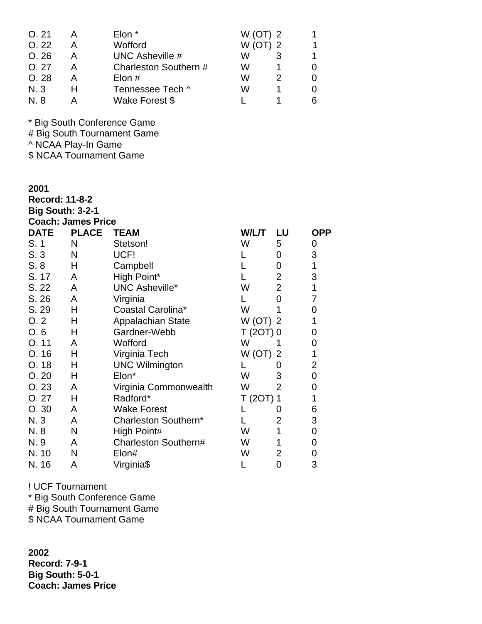| O.21       | Elon *                | $W$ (OT) 2 | 1. |
|------------|-----------------------|------------|----|
| O.22       | Wofford               | $W$ (OT) 2 | 1  |
| O.26       | UNC Asheville #       |            | 1  |
| O.27       | Charleston Southern # | w          | 0  |
| O.28       | Elon $#$              | w          | 0  |
| N. 3       | Tennessee Tech ^      | w          | 0  |
| <b>N.8</b> | Wake Forest \$        |            | 6  |

# Big South Tournament Game

^ NCAA Play-In Game

\$ NCAA Tournament Game

#### **2001**

**Record: 11-8-2 Big South: 3-2-1**

|  |  | <b>Coach: James Price</b> |
|--|--|---------------------------|

| <b>DATE</b> | <b>PLACE</b> | <b>TEAM</b>              | W/L/T      | LU             | <b>OPP</b> |
|-------------|--------------|--------------------------|------------|----------------|------------|
| S. 1        | N            | Stetson!                 | W          | 5              | 0          |
| S.3         | N            | UCF!                     |            | 0              | 3          |
| S.8         | Н            | Campbell                 |            | 0              | 1          |
| S. 17       | A            | High Point*              |            | $\overline{2}$ | 3          |
| S. 22       | A            | <b>UNC Asheville*</b>    | W          | $\overline{2}$ | 1          |
| S. 26       | A            | Virginia                 |            | 0              | 7          |
| S. 29       | Н            | Coastal Carolina*        | W          |                | 0          |
| O.2         | Н            | <b>Appalachian State</b> | $W$ (OT) 2 |                |            |
| O.6         | Н            | Gardner-Webb             | $T(2OT)$ 0 |                | 0          |
| O.11        | A            | Wofford                  | W          |                | 0          |
| O.16        | Н            | Virginia Tech            | W(OT)      | $\overline{2}$ | 1          |
| O. 18       | Н            | <b>UNC Wilmington</b>    |            |                | 2          |
| O.20        | Н            | Elon*                    | W          | 3              | 0          |
| O.23        | A            | Virginia Commonwealth    | W          | $\overline{2}$ | 0          |
| O.27        | Н            | Radford*                 | T (20T) 1  |                | 1          |
| O.30        | A            | <b>Wake Forest</b>       |            |                | 6          |
| N. 3        | A            | Charleston Southern*     |            | $\overline{2}$ | 3          |
| N. 8        | N            | High Point#              | W          |                | 0          |
| N. 9        | A            | Charleston Southern#     | W          |                | 0          |
| N. 10       | N            | Elon#                    | W          | $\overline{2}$ | 0          |
| N. 16       | Α            | Virginia\$               |            | 0              | 3          |

! UCF Tournament

\* Big South Conference Game

# Big South Tournament Game

\$ NCAA Tournament Game

**2002 Record: 7-9-1 Big South: 5-0-1 Coach: James Price**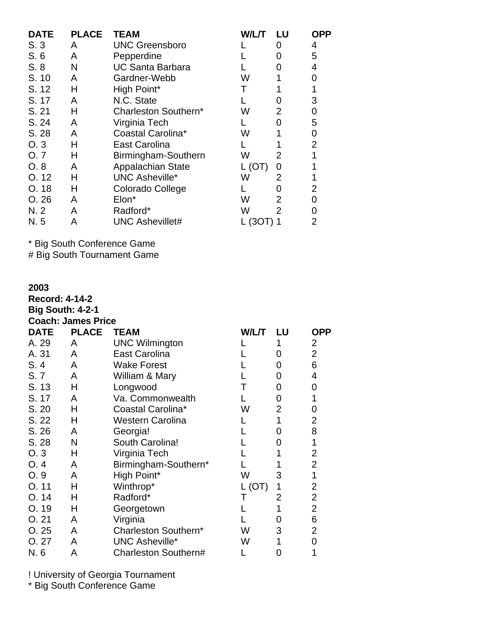| <b>DATE</b> | <b>PLACE</b> | <b>TEAM</b>              | W/L/T | LU                | OPP            |
|-------------|--------------|--------------------------|-------|-------------------|----------------|
| S.3         | A            | <b>UNC Greensboro</b>    |       | O                 | 4              |
| S.6         | A            | Pepperdine               |       | O                 | 5              |
| S.8         | N            | <b>UC Santa Barbara</b>  |       | $\mathbf{\Omega}$ | 4              |
| S. 10       | A            | Gardner-Webb             | W     |                   | 0              |
| S. 12       | н            | High Point*              |       |                   |                |
| S. 17       | A            | N.C. State               |       |                   | 3              |
| S. 21       | н            | Charleston Southern*     | W     | 2                 | 0              |
| S. 24       | A            | Virginia Tech            |       |                   | 5              |
| S. 28       | A            | Coastal Carolina*        | W     |                   | 0              |
| O.3         | н            | East Carolina            |       |                   | $\overline{2}$ |
| O. 7        | н            | Birmingham-Southern      | W     | 2                 |                |
| O.8         | A            | <b>Appalachian State</b> | (OT)  | 0                 |                |
| O.12        | н            | <b>UNC Asheville*</b>    | W     | 2                 |                |
| O.18        | н            | Colorado College         |       | O                 | 2              |
| O.26        | A            | Elon*                    | W     | 2                 | 0              |
| N.2         | A            | Radford*                 | W     | 2                 | ი              |
| N. 5        | A            | <b>UNC Ashevillet#</b>   | (3OT) |                   | 2              |

# Big South Tournament Game

| 2003                  |                           |                         |        |                |                |
|-----------------------|---------------------------|-------------------------|--------|----------------|----------------|
| <b>Record: 4-14-2</b> |                           |                         |        |                |                |
|                       | <b>Big South: 4-2-1</b>   |                         |        |                |                |
|                       | <b>Coach: James Price</b> |                         |        |                |                |
| <b>DATE</b>           | <b>PLACE</b>              | <b>TEAM</b>             | W/L/T  | LU             | <b>OPP</b>     |
| A. 29                 | A                         | <b>UNC Wilmington</b>   |        | 1              | $\overline{2}$ |
| A. 31                 | A                         | East Carolina           |        | 0              | $\overline{2}$ |
| S.4                   | A                         | <b>Wake Forest</b>      |        | 0              | 6              |
| S.7                   | A                         | William & Mary          |        | 0              | 4              |
| S. 13                 | Н                         | Longwood                | Τ      | 0              | 0              |
| S. 17                 | A                         | Va. Commonwealth        |        | 0              | 1              |
| S. 20                 | Н                         | Coastal Carolina*       | W      | $\overline{2}$ | 0              |
| S. 22                 | Н                         | <b>Western Carolina</b> |        | 1              | $\overline{2}$ |
| S. 26                 | A                         | Georgia!                |        | 0              | 8              |
| S. 28                 | N                         | South Carolina!         |        | 0              | 1              |
| O.3                   | Н                         | Virginia Tech           |        | 1              | $\overline{c}$ |
| O.4                   | A                         | Birmingham-Southern*    |        |                | $\overline{2}$ |
| O. 9                  | A                         | High Point*             | W      | 3              | 1              |
| O. 11                 | Н                         | Winthrop*               | L (OT) | 1              | $\overline{2}$ |
| O. 14                 | н                         | Radford*                | Т      | 2              | $\overline{2}$ |
| O. 19                 | Н                         | Georgetown              |        | 1              | $\overline{2}$ |
| O.21                  | A                         | Virginia                |        | 0              | 6              |
| O.25                  | A                         | Charleston Southern*    | W      | 3              | $\overline{2}$ |
| O.27                  | A                         | <b>UNC Asheville*</b>   | W      | 1              | 0              |
| N. 6                  | Α                         | Charleston Southern#    |        | 0              | 1              |

! University of Georgia Tournament

\* Big South Conference Game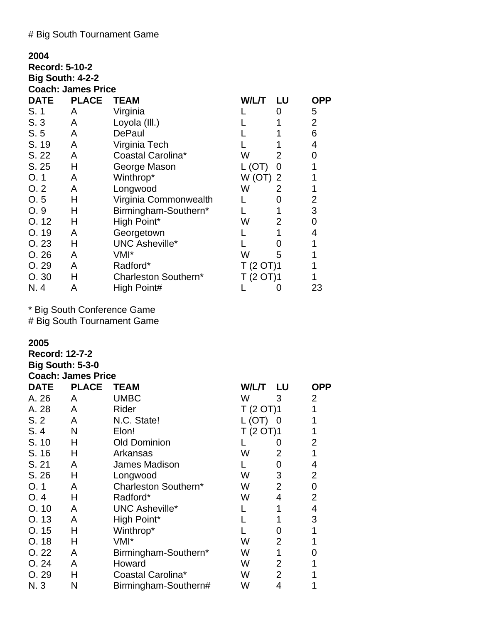# # Big South Tournament Game

| 2004                  |                           |                       |            |    |                |
|-----------------------|---------------------------|-----------------------|------------|----|----------------|
| <b>Record: 5-10-2</b> |                           |                       |            |    |                |
|                       | <b>Big South: 4-2-2</b>   |                       |            |    |                |
|                       | <b>Coach: James Price</b> |                       |            |    |                |
| <b>DATE</b>           | <b>PLACE</b>              | <b>TEAM</b>           | W/L/T      | LU | <b>OPP</b>     |
| S. 1                  | A                         | Virginia              |            | 0  | 5              |
| S.3                   | A                         | Loyola (III.)         |            |    | $\overline{2}$ |
| S.5                   | A                         | <b>DePaul</b>         |            |    | 6              |
| S. 19                 | A                         | Virginia Tech         |            |    | 4              |
| S. 22                 | A                         | Coastal Carolina*     | W          | 2  | 0              |
| S.25                  | Н                         | George Mason          | L(OT)      | 0  | 1              |
| O.1                   | A                         | Winthrop*             | $W$ (OT) 2 |    |                |
| O.2                   | A                         | Longwood              | W          | 2  |                |
| O.5                   | н                         | Virginia Commonwealth |            | 0  | 2              |
| O.9                   | н                         | Birmingham-Southern*  |            |    | 3              |
| O.12                  | Н                         | High Point*           | W          | 2  | 0              |
| O.19                  | A                         | Georgetown            |            | 1  | 4              |
| O.23                  | н                         | <b>UNC Asheville*</b> |            | 0  | 1              |
| O.26                  | A                         | VMI*                  | W          | 5  |                |
| O. 29                 | A                         | Radford*              | T(2 OT)1   |    |                |
| O.30                  | н                         | Charleston Southern*  | T (2 OT)1  |    |                |
| N. 4                  | А                         | High Point#           |            | 0  | 23             |

\* Big South Conference Game # Big South Tournament Game

# **2005**

| <b>Record: 12-7-2</b> |                           |                       |           |                |                |
|-----------------------|---------------------------|-----------------------|-----------|----------------|----------------|
|                       | <b>Big South: 5-3-0</b>   |                       |           |                |                |
|                       | <b>Coach: James Price</b> |                       |           |                |                |
| <b>DATE</b>           | <b>PLACE</b>              | <b>TEAM</b>           | W/L/T LU  |                | <b>OPP</b>     |
| A. 26                 | A                         | <b>UMBC</b>           | W         | 3              | $\overline{2}$ |
| A. 28                 | A                         | Rider                 | T (2 OT)1 |                | 1              |
| S.2                   | A                         | N.C. State!           | $L(OT)$ 0 |                | 1              |
| S.4                   | N                         | Elon!                 | T(2 OT)1  |                | 1              |
| S. 10                 | Н                         | <b>Old Dominion</b>   |           | O              | 2              |
| S. 16                 | H                         | Arkansas              | W         | $\overline{2}$ | 1              |
| S. 21                 | A                         | James Madison         |           | 0              | 4              |
| S. 26                 | Н                         | Longwood              | W         | 3              | $\overline{2}$ |
| O.1                   | A                         | Charleston Southern*  | W         | $\overline{2}$ | $\mathbf 0$    |
| O.4                   | н                         | Radford*              | W         | 4              | $\overline{2}$ |
| O.10                  | Α                         | <b>UNC Asheville*</b> |           | 1              | 4              |
| O.13                  | A                         | High Point*           |           |                | 3              |
| O.15                  | н                         | Winthrop*             |           | 0              | 1              |
| O.18                  | н                         | VMI*                  | W         | $\overline{2}$ | 1              |
| O.22                  | Α                         | Birmingham-Southern*  | W         | 1              | 0              |
| O.24                  | A                         | Howard                | W         | 2              | 1              |
| O.29                  | н                         | Coastal Carolina*     | W         | $\overline{2}$ | 1              |
| N. 3                  | N                         | Birmingham-Southern#  | W         | 4              | 1              |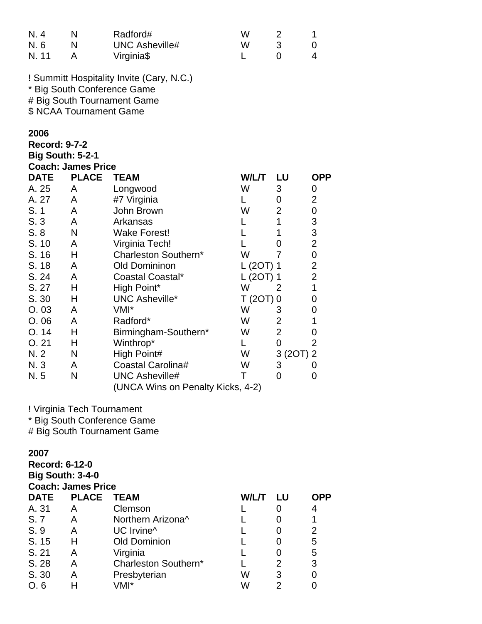| N. 4<br>N. 6<br>N. 11                                   | N<br>N<br>A               | Radford#<br><b>UNC Asheville#</b><br>Virginia\$                                                         | W<br>W<br>L  | $\overline{\mathbf{c}}$<br>3<br>$\overline{0}$ | 1<br>0<br>4                                |
|---------------------------------------------------------|---------------------------|---------------------------------------------------------------------------------------------------------|--------------|------------------------------------------------|--------------------------------------------|
|                                                         | \$ NCAA Tournament Game   | ! Summitt Hospitality Invite (Cary, N.C.)<br>* Big South Conference Game<br># Big South Tournament Game |              |                                                |                                            |
| 2006<br><b>Record: 9-7-2</b><br><b>Big South: 5-2-1</b> | <b>Coach: James Price</b> |                                                                                                         |              |                                                |                                            |
| <b>DATE</b>                                             | <b>PLACE</b>              | <b>TEAM</b>                                                                                             | <b>W/L/T</b> | LU                                             | <b>OPP</b>                                 |
| A. 25                                                   | A                         | Longwood                                                                                                | W            | 3                                              | 0                                          |
| A. 27                                                   | A                         | #7 Virginia                                                                                             | L.           | $\overline{0}$                                 | $\overline{2}$                             |
| S. 1                                                    | A                         | John Brown                                                                                              | W            | $\overline{2}$                                 | $\mathsf 0$                                |
| S.3                                                     | A                         | Arkansas                                                                                                | L            | $\mathbf{1}$                                   | 3                                          |
| S.8                                                     | N                         | <b>Wake Forest!</b>                                                                                     | L            | 1                                              |                                            |
| S. 10                                                   | A                         | Virginia Tech!                                                                                          | L            | $\overline{0}$                                 | $\begin{array}{c} 3 \\ 2 \\ 0 \end{array}$ |
| S. 16                                                   | н                         | Charleston Southern*                                                                                    | W            | 7                                              |                                            |
| S. 18                                                   | A                         | <b>Old Domininon</b>                                                                                    | L (2OT) 1    |                                                |                                            |
| S. 24                                                   | A                         | Coastal Coastal*                                                                                        | L (2OT) 1    |                                                | $\begin{array}{c} 2 \\ 2 \\ 1 \end{array}$ |
| S. 27                                                   | Η                         | High Point*                                                                                             | W            | 2                                              |                                            |
| S. 30                                                   | н                         | <b>UNC Asheville*</b>                                                                                   | $T(2OT)$ 0   |                                                | 0                                          |
| O.03                                                    | A                         | VMI*                                                                                                    | W            | 3                                              | 0                                          |
| O.06                                                    | A                         | Radford*                                                                                                | W            | $\overline{c}$                                 | 1                                          |
| O.14                                                    | Н                         | Birmingham-Southern*                                                                                    | W            | $\overline{2}$                                 | 0                                          |
| O.21                                                    | Н                         | Winthrop*                                                                                               | L.           | $\overline{0}$                                 | $\overline{2}$                             |
| N. 2                                                    | N                         | High Point#                                                                                             | W            | 3(2OT)                                         | $\overline{2}$                             |
| N. 3                                                    | A                         | Coastal Carolina#                                                                                       | W            | 3                                              | 0                                          |
| N. 5                                                    | N                         | <b>UNC Asheville#</b><br>(UNCA Wins on Penalty Kicks, 4-2)                                              | T            | $\overline{0}$                                 | 0                                          |

! Virginia Tech Tournament

\* Big South Conference Game

# Big South Tournament Game

# **2007**

**Record: 6-12-0 Big South: 3-4-0 Coach: James Price DATE PLACE TEAM W/L/T LU OPP** A. 31 A Clemson L 0 4 S. 7 A Northern Arizona<sup>^</sup> L 0 1 S. 9 A UC Irvine<sup>^</sup> L 0 2 S. 15 H Old Dominion L 0 5 S. 21 A Virginia L 0 5 S. 28 A Charleston Southern\* L 2 3<br>
S. 30 A Presbyterian W 3 0 S. 30 A Presbyterian W 3 0<br>
O. 6 H VMI\* W W 2 0 O. 6 H VMI\* W 2 0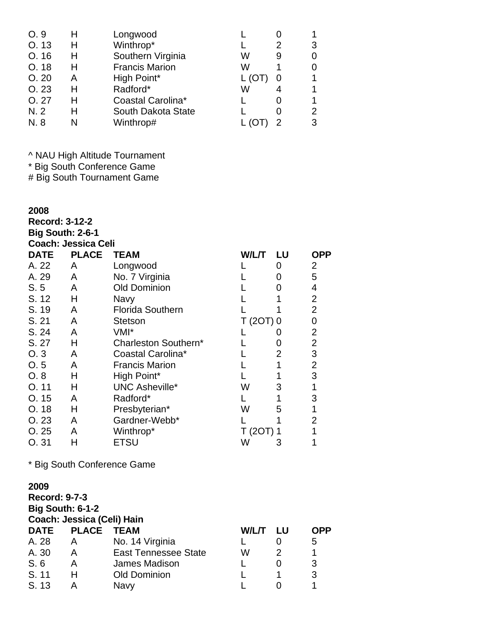| O.9   | н | Longwood              |   |   |   |
|-------|---|-----------------------|---|---|---|
| O. 13 | н | Winthrop*             |   | 2 | 3 |
| O.16  | н | Southern Virginia     | W | 9 | 0 |
| O.18  | н | <b>Francis Marion</b> | W |   | O |
| O.20  | А | High Point*           |   |   |   |
| O.23  | н | Radford*              | W |   |   |
| O.27  | н | Coastal Carolina*     |   |   |   |
| N.2   | H | South Dakota State    |   |   | 2 |
| N. 8  |   | Winthrop#             |   |   | 3 |
|       |   |                       |   |   |   |

^ NAU High Altitude Tournament

\* Big South Conference Game

# Big South Tournament Game

### **2008**

**Record: 3-12-2 Big South: 2-6-1 Coach: Jessica Celi**

| <b>DATE</b> | <b>PLACE</b> | <b>TEAM</b>             | W/L/T     | LU | <b>OPP</b>     |
|-------------|--------------|-------------------------|-----------|----|----------------|
| A. 22       | A            | Longwood                |           | 0  | 2              |
| A. 29       | A            | No. 7 Virginia          |           | 0  | 5              |
| S.5         | A            | <b>Old Dominion</b>     |           | Ω  | 4              |
| S. 12       | н            | <b>Navy</b>             |           |    | 2              |
| S. 19       | A            | <b>Florida Southern</b> |           |    | 2              |
| S. 21       | A            | Stetson                 | T (2OT) 0 |    | 0              |
| S. 24       | A            | VMI*                    |           |    | 2              |
| S. 27       | н            | Charleston Southern*    |           | 0  | 2              |
| O.3         | A            | Coastal Carolina*       |           | 2  | 3              |
| O.5         | A            | <b>Francis Marion</b>   |           |    | 2              |
| O.8         | н            | High Point*             |           |    | 3              |
| O.11        | н            | <b>UNC Asheville*</b>   | W         | 3  | 1              |
| O. 15       | A            | Radford*                |           | 1  | 3              |
| O.18        | н            | Presbyterian*           | W         | 5  |                |
| O. 23       | A            | Gardner-Webb*           |           |    | $\overline{2}$ |
| O.25        | А            | Winthrop*               | T (2OT) 1 |    |                |
| O. 31       | H            | <b>ETSU</b>             | W         | 3  |                |

\* Big South Conference Game

# **2009**

**Record: 9-7-3 Big South: 6-1-2 Coach: Jessica (Celi) Hain DATE PLACE TEAM W/L/T LU OPP** A. 28 A No. 14 Virginia L 0 5 A. 30 A East Tennessee State W 2 1 S. 6 A James Madison L 0 3<br>
S. 11 H Old Dominion L 1 3 H Old Dominion L 1<br>A Navy L 0 S. 13 A Navy L 0 1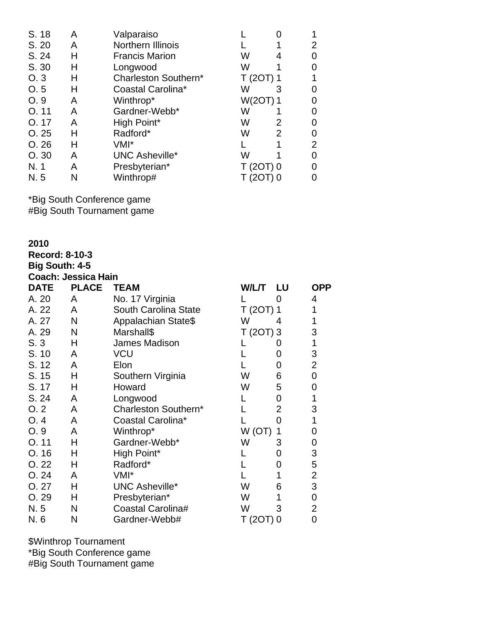| S. 18 | А | Valparaiso            |            |        |  |
|-------|---|-----------------------|------------|--------|--|
| S. 20 | Α | Northern Illinois     |            |        |  |
| S. 24 | н | <b>Francis Marion</b> | W          |        |  |
| S. 30 | Н | Longwood              | W          |        |  |
| O.3   | н | Charleston Southern*  | T (2OT) 1  |        |  |
| O.5   | н | Coastal Carolina*     | W          | 3      |  |
| O.9   | Α | Winthrop*             | W(2OT) 1   |        |  |
| O.11  | А | Gardner-Webb*         | W          |        |  |
| O. 17 | Α | High Point*           | w          | 2      |  |
| O.25  | Н | Radford*              | W          | 2      |  |
| O.26  | н | VMI*                  |            |        |  |
| O.30  | А | UNC Asheville*        | w          |        |  |
| N. 1  | Α | Presbyterian*         | $T(2OT)$ 0 |        |  |
| N. 5  | N | Winthrop#             |            | 20T) 0 |  |

\*Big South Conference game #Big South Tournament game

**2010**

| 2010                  |                            |                       |            |                |                |
|-----------------------|----------------------------|-----------------------|------------|----------------|----------------|
| Record: 8-10-3        |                            |                       |            |                |                |
| <b>Big South: 4-5</b> |                            |                       |            |                |                |
|                       | <b>Coach: Jessica Hain</b> |                       |            |                |                |
| <b>DATE</b>           | <b>PLACE</b>               | <b>TEAM</b>           | W/L/T      | LU             | <b>OPP</b>     |
| A. 20                 | A                          | No. 17 Virginia       |            | $\Omega$       | 4              |
| A. 22                 | A                          | South Carolina State  | $T(2OT)$ 1 |                | 1              |
| A. 27                 | N                          | Appalachian State\$   | W          | 4              | 1              |
| A. 29                 | N                          | Marshall\$            | $T(2OT)$ 3 |                | 3              |
| S.3                   | н                          | James Madison         |            | 0              | 1              |
| S. 10                 | A                          | <b>VCU</b>            |            | 0              | 3              |
| S. 12                 | A                          | Elon                  |            | 0              | $\overline{2}$ |
| S. 15                 | Н                          | Southern Virginia     | W          | 6              | $\mathbf 0$    |
| S. 17                 | н                          | Howard                | W          | 5              | 0              |
| S. 24                 | A                          | Longwood              |            | 0              | 1              |
| O.2                   | A                          | Charleston Southern*  |            | $\overline{2}$ | 3              |
| O.4                   | A                          | Coastal Carolina*     |            | 0              | 1              |
| O. 9                  | A                          | Winthrop*             | W(OT)      | 1              | 0              |
| O. 11                 | н                          | Gardner-Webb*         | W          | 3              | 0              |
| O. 16                 | н                          | High Point*           |            | 0              | 3              |
| O.22                  | н                          | Radford*              |            | 0              | 5              |
| O. 24                 | A                          | VMI*                  |            | 1              | $\overline{c}$ |
| O. 27                 | Н                          | <b>UNC Asheville*</b> | W          | 6              | 3              |
| O. 29                 | н                          | Presbyterian*         | W          | 1              | 0              |
| N. 5                  | N                          | Coastal Carolina#     | W          | 3              | 2              |
| N. 6                  | N                          | Gardner-Webb#         | T (2OT)    | 0              | 0              |

\$Winthrop Tournament \*Big South Conference game #Big South Tournament game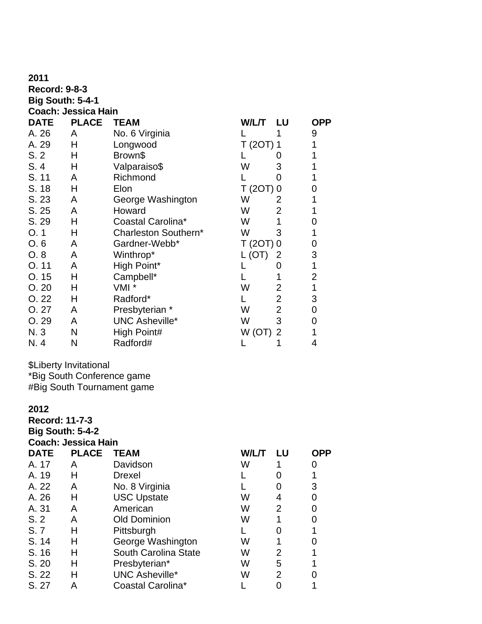| 2011                    |                            |                       |           |                |                |
|-------------------------|----------------------------|-----------------------|-----------|----------------|----------------|
| <b>Record: 9-8-3</b>    |                            |                       |           |                |                |
| <b>Big South: 5-4-1</b> |                            |                       |           |                |                |
|                         | <b>Coach: Jessica Hain</b> |                       |           |                |                |
| <b>DATE</b>             | <b>PLACE</b>               | <b>TEAM</b>           | W/L/T     | -LU            | <b>OPP</b>     |
| A. 26                   | A                          | No. 6 Virginia        |           | 1              | 9              |
| A. 29                   | Н                          | Longwood              | T (20T) 1 |                | 1              |
| S.2                     | н                          | Brown\$               |           | 0              | 1              |
| S. 4                    | Н                          | Valparaiso\$          | W         | 3              |                |
| S. 11                   | A                          | Richmond              |           | 0              |                |
| S. 18                   | Н                          | Elon                  | T(2OT)    | 0              | 0              |
| S. 23                   | A                          | George Washington     | W         | 2              |                |
| S. 25                   | A                          | Howard                | W         | $\overline{2}$ | 1              |
| S. 29                   | н                          | Coastal Carolina*     | W         | 1              | 0              |
| O.1                     | н                          | Charleston Southern*  | W         | 3              | 1              |
| O.6                     | A                          | Gardner-Webb*         | T(2OT)    | 0              | 0              |
| O. 8                    | A                          | Winthrop*             | L(OT)     | 2              | 3              |
| O. 11                   | A                          | High Point*           |           | 0              | 1              |
| O.15                    | н                          | Campbell*             |           | 1              | $\overline{c}$ |
| O.20                    | н                          | VMI <sup>*</sup>      | W         | 2              | 1              |
| O.22                    | Н                          | Radford*              | L         | $\overline{2}$ | 3              |
| O.27                    | A                          | Presbyterian *        | W         | $\overline{2}$ | $\overline{0}$ |
| O. 29                   | A                          | <b>UNC Asheville*</b> | W         | 3              | 0              |
| N. 3                    | N                          | High Point#           | W(OT)     | $\overline{2}$ | 1              |
| N. 4                    | N                          | Radford#              |           | 1              | 4              |
|                         |                            |                       |           |                |                |

\$Liberty Invitational \*Big South Conference game #Big South Tournament game

## **2012 Record: 11-7-3**

| <b>Big South: 5-4-2</b> |                            |                       |       |                |            |  |  |  |
|-------------------------|----------------------------|-----------------------|-------|----------------|------------|--|--|--|
|                         | <b>Coach: Jessica Hain</b> |                       |       |                |            |  |  |  |
| <b>DATE</b>             | <b>PLACE</b>               | <b>TEAM</b>           | W/L/T | LU             | <b>OPP</b> |  |  |  |
| A. 17                   | A                          | Davidson              | W     |                | 0          |  |  |  |
| A. 19                   | н                          | <b>Drexel</b>         |       |                |            |  |  |  |
| A. 22                   | A                          | No. 8 Virginia        |       |                | 3          |  |  |  |
| A. 26                   | н                          | <b>USC Upstate</b>    | W     | 4              | 0          |  |  |  |
| A. 31                   | A                          | American              | W     | 2              |            |  |  |  |
| S.2                     | A                          | <b>Old Dominion</b>   | W     |                | ი          |  |  |  |
| S.7                     | н                          | Pittsburgh            |       |                |            |  |  |  |
| S. 14                   | н                          | George Washington     | W     |                |            |  |  |  |
| S. 16                   | н                          | South Carolina State  | W     | 2              |            |  |  |  |
| S. 20                   | н                          | Presbyterian*         | W     | 5              |            |  |  |  |
| S. 22                   | н                          | <b>UNC Asheville*</b> | W     | $\overline{2}$ |            |  |  |  |
| S. 27                   | А                          | Coastal Carolina*     |       |                |            |  |  |  |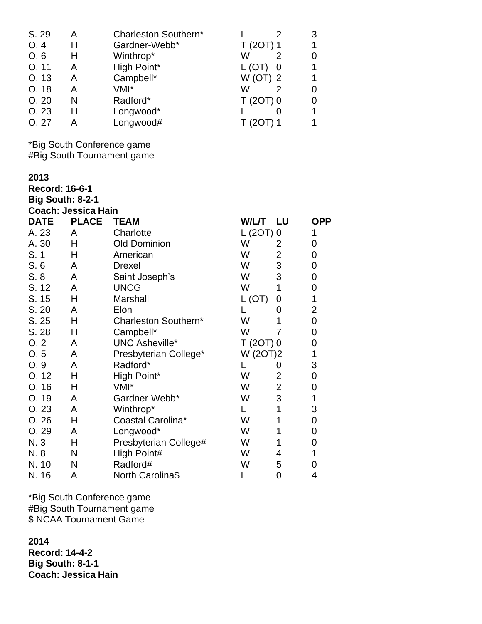| S. 29 | А | Charleston Southern* |            |  |
|-------|---|----------------------|------------|--|
| O.4   | Н | Gardner-Webb*        | T (20T) 1  |  |
| O.6   | H | Winthrop*            | w          |  |
| O.11  | Α | High Point*          | L(OT)      |  |
| O. 13 | А | Campbell*            | $W$ (OT) 2 |  |
| O. 18 | А | VMI*                 | w          |  |
| O.20  | N | Radford*             | $T(2OT)$ 0 |  |
| O.23  | н | Longwood*            |            |  |
| O.27  | А | Longwood#            |            |  |

\*Big South Conference game #Big South Tournament game

**2013**

**Record: 16-6-1**

**Big South: 8-2-1 Coach: Jessica Hain**

| <b>DATE</b> | <b>PLACE</b> | <b>TEAM</b>           | W/L/T      | <b>LU</b>      | <b>OPP</b>     |
|-------------|--------------|-----------------------|------------|----------------|----------------|
| A. 23       | A            | Charlotte             | $L(2OT)$ 0 |                | 1              |
| A. 30       | н            | <b>Old Dominion</b>   | W          | 2              | 0              |
| S. 1        | н            | American              | W          | $\overline{2}$ | 0              |
| S.6         | A            | <b>Drexel</b>         | W          | 3              | $\mathbf 0$    |
| S.8         | A            | Saint Joseph's        | W          | 3              | $\mathbf 0$    |
| S. 12       | A            | <b>UNCG</b>           | W          | 1              | 0              |
| S. 15       | Н            | Marshall              | L (OT)     | 0              | 1              |
| S. 20       | A            | Elon                  |            | 0              | $\overline{2}$ |
| S. 25       | Н            | Charleston Southern*  | W          | 1              | 0              |
| S. 28       | Н            | Campbell*             | W          |                | 0              |
| O.2         | A            | <b>UNC Asheville*</b> | $T(2OT)$ 0 |                | 0              |
| O.5         | A            | Presbyterian College* | W (2OT)2   |                | 1              |
| O.9         | A            | Radford*              |            | 0              | 3              |
| O. 12       | Н            | High Point*           | W          | 2              | $\mathbf 0$    |
| O. 16       | Н            | VMI*                  | W          | $\overline{2}$ | 0              |
| O. 19       | A            | Gardner-Webb*         | W          | 3              | 1              |
| O.23        | A            | Winthrop*             |            | 1              | 3              |
| O.26        | Н            | Coastal Carolina*     | W          | 1              | $\mathbf 0$    |
| O. 29       | A            | Longwood*             | W          | 1              | 0              |
| N. 3        | H            | Presbyterian College# | W          | 1              | 0              |
| N. 8        | N            | High Point#           | W          | 4              |                |
| N. 10       | N            | Radford#              | W          | 5              | 0              |
| N. 16       | Α            | North Carolina\$      |            | 0              | 4              |

\*Big South Conference game #Big South Tournament game \$ NCAA Tournament Game

**2014 Record: 14-4-2 Big South: 8-1-1 Coach: Jessica Hain**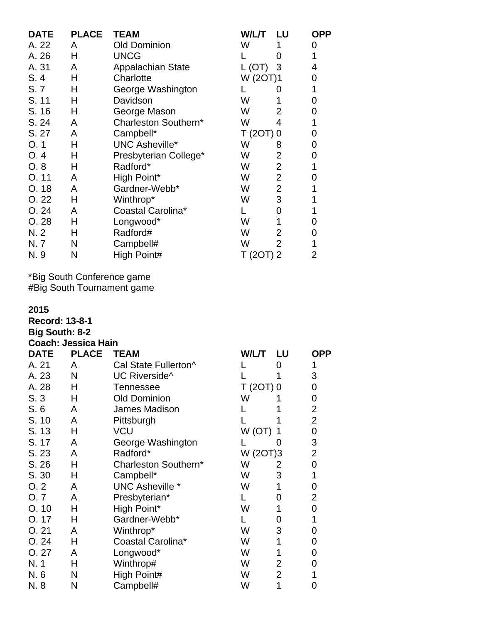| <b>DATE</b> | <b>PLACE</b> | <b>TEAM</b>              | W/L/T LU   |                | <b>OPP</b> |
|-------------|--------------|--------------------------|------------|----------------|------------|
| A. 22       | A            | <b>Old Dominion</b>      | W          |                | 0          |
| A. 26       | Н            | <b>UNCG</b>              |            | $\mathcal{O}$  |            |
| A. 31       | A            | <b>Appalachian State</b> | L (OT)     | 3              | 4          |
| S.4         | Н            | Charlotte                | W (2OT)1   |                | 0          |
| S.7         | Н            | George Washington        |            |                | 1          |
| S. 11       | н            | Davidson                 | W          |                | 0          |
| S. 16       | Н            | George Mason             | W          | 2              | 0          |
| S. 24       | A            | Charleston Southern*     | W          | 4              | 1          |
| S. 27       | A            | Campbell*                | $T(2OT)$ 0 |                | 0          |
| O.1         | н            | <b>UNC Asheville*</b>    | W          | 8              | 0          |
| O.4         | Н            | Presbyterian College*    | W          | $\overline{2}$ | 0          |
| O.8         | н            | Radford*                 | W          | $\overline{2}$ | 1          |
| O.11        | A            | High Point*              | W          | $\overline{2}$ | 0          |
| O.18        | A            | Gardner-Webb*            | W          | $\overline{2}$ |            |
| O.22        | Н            | Winthrop*                | W          | 3              |            |
| O.24        | A            | Coastal Carolina*        |            | 0              | 1          |
| O.28        | Н            | Longwood*                | W          |                | 0          |
| N.2         | н            | Radford#                 | W          | $\overline{2}$ | 0          |
| N.7         | N            | Campbell#                | W          | $\overline{2}$ | 1          |
| N. 9        | N            | High Point#              | T (2OT) 2  |                | 2          |

\*Big South Conference game #Big South Tournament game

**2015**

**Record: 13-8-1**

| <b>Big South: 8-2</b> |  |
|-----------------------|--|
| Coach: Jessica Hain   |  |

| <b>DATE</b> | <b>PLACE</b> | <b>TEAM</b>            | W/L/T      | LU            | <b>OPP</b>     |
|-------------|--------------|------------------------|------------|---------------|----------------|
| A. 21       | A            | Cal State Fullerton^   |            | 0             |                |
| A. 23       | N            | UC Riverside^          |            |               | 3              |
| A. 28       | Н            | <b>Tennessee</b>       | $T(2OT)$ 0 |               | 0              |
| S.3         | Н            | <b>Old Dominion</b>    | W          |               | 0              |
| S. 6        | A            | James Madison          |            |               | 2              |
| S. 10       | A            | Pittsburgh             |            |               | $\overline{2}$ |
| S. 13       | Н            | VCU                    | W (OT)     |               | 0              |
| S. 17       | A            | George Washington      |            | $\mathcal{O}$ | 3              |
| S. 23       | A            | Radford*               | W (20T)3   |               | 2              |
| S. 26       | Н            | Charleston Southern*   | W          | 2             | 0              |
| S. 30       | Н            | Campbell*              | W          | 3             | 1              |
| O.2         | A            | <b>UNC Asheville *</b> | W          | 1             | 0              |
| O.7         | A            | Presbyterian*          |            | 0             | 2              |
| O.10        | Н            | High Point*            | W          | 1             | 0              |
| 0.17        | н            | Gardner-Webb*          |            | 0             |                |
| O.21        | A            | Winthrop*              | W          | 3             | 0              |
| O.24        | Н            | Coastal Carolina*      | W          | 1             | 0              |
| O.27        | A            | Longwood*              | W          | 1             | O              |
| N. 1        | Н            | Winthrop#              | W          | 2             | O              |
| N. 6        | N            | High Point#            | W          | 2             |                |
| N. 8        | N            | Campbell#              | W          | 1             | 0              |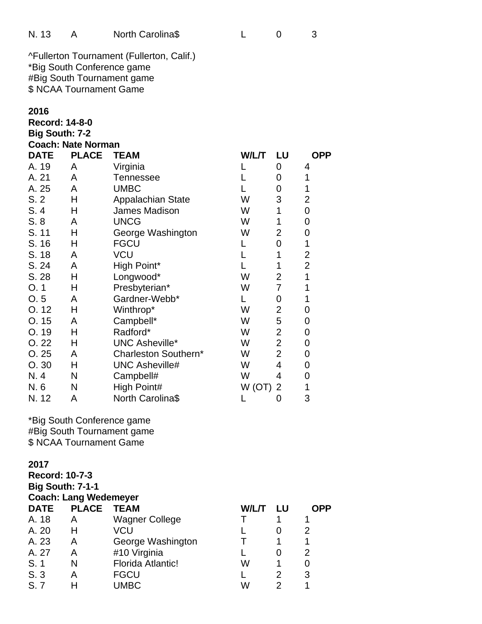| N. 13 |  | North Carolina\$ |  |  |  |
|-------|--|------------------|--|--|--|
|-------|--|------------------|--|--|--|

^Fullerton Tournament (Fullerton, Calif.) \*Big South Conference game #Big South Tournament game \$ NCAA Tournament Game

### **2016**

**Record: 14-8-0 Big South: 7-2**

|  | <b>Coach: Nate Norman</b> |
|--|---------------------------|

| <b>DATE</b> | <b>PLACE</b> | <b>TEAM</b>              | W/L/T | LU             | <b>OPP</b>     |
|-------------|--------------|--------------------------|-------|----------------|----------------|
| A. 19       | A            | Virginia                 |       | 0              | 4              |
| A. 21       | A            | <b>Tennessee</b>         |       | 0              | 1              |
| A. 25       | A            | <b>UMBC</b>              |       | 0              | 1              |
| S.2         | н            | <b>Appalachian State</b> | W     | 3              | 2              |
| S.4         | н            | James Madison            | W     | 1              | 0              |
| S.8         | A            | <b>UNCG</b>              | W     | 1              | 0              |
| S. 11       | Н            | George Washington        | W     | 2              | 0              |
| S. 16       | Н            | <b>FGCU</b>              | L     | 0              | 1              |
| S. 18       | A            | VCU                      |       |                | 2              |
| S. 24       | A            | High Point*              |       | 1              | $\overline{2}$ |
| S. 28       | Н            | Longwood*                | W     | 2              | 1              |
| O.1         | Н            | Presbyterian*            | W     | 7              | 1              |
| O.5         | A            | Gardner-Webb*            |       | 0              | 1              |
| O.12        | Η            | Winthrop*                | W     | 2              | 0              |
| O.15        | A            | Campbell*                | W     | 5              | 0              |
| O. 19       | н            | Radford*                 | W     | 2              | 0              |
| O.22        | н            | <b>UNC Asheville*</b>    | W     | $\overline{2}$ | 0              |
| O.25        | A            | Charleston Southern*     | W     | 2              | 0              |
| O.30        | н            | <b>UNC Asheville#</b>    | W     | 4              | 0              |
| N. 4        | N            | Campbell#                | W     | 4              | 0              |
| N. 6        | N            | High Point#              | W(OT) | 2              | 1              |
| N. 12       | Α            | North Carolina\$         |       | 0              | 3              |

\*Big South Conference game #Big South Tournament game \$ NCAA Tournament Game

# **2017**

**Record: 10-7-3 Big South: 7-1-1 Coach: Lang Wedemeyer DATE PLACE TEAM W/L/T LU OPP** A. 18 A Wagner College T 1 1 A. 20 H VCU L 0 2 A. 23 A George Washington T 1 1 A. 27 A #10 Virginia L 0 2 S. 1 N Florida Atlantic! W 1 0<br>
S. 3 A FGCU L 2 3 S. 3 A FGCU L 2 3 S. 7 H UMBC W 2 1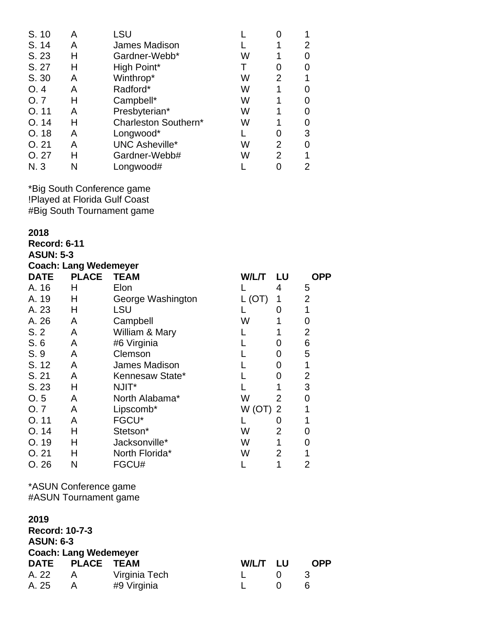| S. 10 | А | LSU                   |   |    |   |
|-------|---|-----------------------|---|----|---|
| S. 14 | А | James Madison         |   |    | 2 |
| S. 23 | н | Gardner-Webb*         | w |    | O |
| S. 27 | н | High Point*           |   | O) | 0 |
| S. 30 | Α | Winthrop*             | W | 2  | 1 |
| O.4   | Α | Radford*              | W |    | O |
| O.7   | н | Campbell*             | W |    | 0 |
| O.11  | Α | Presbyterian*         | W |    | 0 |
| O.14  | Н | Charleston Southern*  | W |    | 0 |
| O.18  | А | Longwood*             |   |    | 3 |
| O.21  | А | <b>UNC Asheville*</b> | W | 2  | 0 |
| O.27  | н | Gardner-Webb#         | W | 2  | 1 |
| N.3   |   | Longwood#             |   |    | 2 |

\*Big South Conference game !Played at Florida Gulf Coast #Big South Tournament game

**2018**

**Record: 6-11**

**ASUN: 5-3**

| <b>Coach: Lang Wedemeyer</b> |              |                   |       |                |     |  |
|------------------------------|--------------|-------------------|-------|----------------|-----|--|
| <b>DATE</b>                  | <b>PLACE</b> | <b>TEAM</b>       | W/L/T | LU             | OPP |  |
| A. 16                        | Н            | Elon              |       | 4              | 5   |  |
| A. 19                        | Н            | George Washington | (OT)  | 1              | 2   |  |
| A. 23                        | н            | LSU               |       | 0              |     |  |
| A. 26                        | A            | Campbell          | W     |                | O   |  |
| S.2                          | A            | William & Mary    |       |                | 2   |  |
| S.6                          | A            | #6 Virginia       |       | 0              | 6   |  |
| S.9                          | A            | Clemson           |       | 0              | 5   |  |
| S. 12                        | A            | James Madison     |       | 0              |     |  |
| S. 21                        | A            | Kennesaw State*   |       | 0              | 2   |  |
| S. 23                        | Н            | NJIT*             |       | 1              | 3   |  |
| O.5                          | A            | North Alabama*    | W     | $\overline{2}$ | 0   |  |
| O.7                          | A            | Lipscomb*         | W(OT) | 2              |     |  |
| O. 11                        | A            | FGCU*             |       | O              |     |  |
| O. 14                        | н            | Stetson*          | W     | 2              |     |  |
| O.19                         | н            | Jacksonville*     | W     | 1              | O)  |  |
| O. 21                        | н            | North Florida*    | W     | $\overline{2}$ |     |  |
| O.26                         | N            | FGCU#             |       | 1              | 2   |  |

\*ASUN Conference game #ASUN Tournament game

| 2019                  |                              |               |          |  |            |  |  |
|-----------------------|------------------------------|---------------|----------|--|------------|--|--|
| <b>Record: 10-7-3</b> |                              |               |          |  |            |  |  |
| <b>ASUN: 6-3</b>      |                              |               |          |  |            |  |  |
|                       | <b>Coach: Lang Wedemeyer</b> |               |          |  |            |  |  |
|                       | DATE PLACE TEAM              |               | W/L/T LU |  | <b>OPP</b> |  |  |
| A. 22                 | $\mathsf{A}$                 | Virginia Tech |          |  | З          |  |  |
| A. 25                 |                              | #9 Virginia   |          |  | 6          |  |  |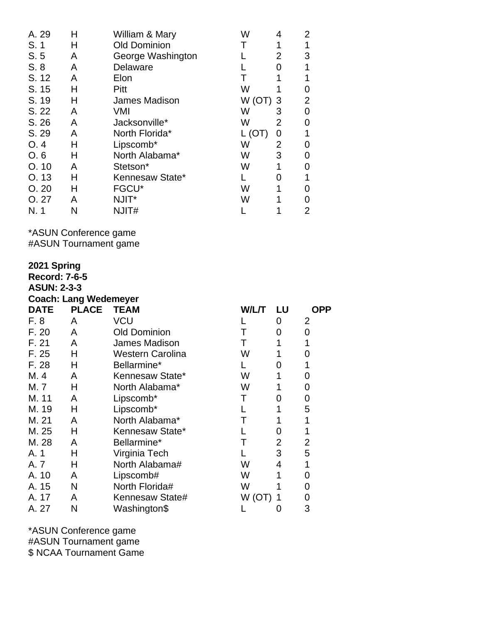| A. 29 | Н | William & Mary       | W      | 4              | 2 |
|-------|---|----------------------|--------|----------------|---|
| S.1   | н | <b>Old Dominion</b>  |        |                |   |
| S.5   | A | George Washington    |        | 2              | 3 |
| S. 8  | A | Delaware             |        | 0              |   |
| S. 12 | A | Elon                 |        |                |   |
| S. 15 | н | Pitt                 | W      |                | 0 |
| S. 19 | Н | <b>James Madison</b> | W (OT) | 3              | 2 |
| S. 22 | A | VMI                  | W      | 3              | 0 |
| S. 26 | A | Jacksonville*        | W      | $\overline{2}$ | O |
| S. 29 | A | North Florida*       | L (OT) | 0              |   |
| O.4   | н | Lipscomb*            | W      | 2              |   |
| O, 6  | н | North Alabama*       | W      | 3              | O |
| O.10  | A | Stetson*             | W      | 1              |   |
| O.13  | н | Kennesaw State*      |        | O              |   |
| O.20  | н | FGCU*                | W      |                | 0 |
| O. 27 | A | NJIT*                | W      |                |   |
| N. 1  | N | NJIT#                |        |                | 2 |

\*ASUN Conference game

#ASUN Tournament game

| 2021 Spring<br><b>Record: 7-6-5</b><br><b>ASUN: 2-3-3</b><br><b>Coach: Lang Wedemeyer</b> |              |                      |       |    |            |  |  |
|-------------------------------------------------------------------------------------------|--------------|----------------------|-------|----|------------|--|--|
| <b>DATE</b>                                                                               | <b>PLACE</b> | <b>TEAM</b>          | W/L/T | LU | <b>OPP</b> |  |  |
| F. 8                                                                                      | A            | VCU                  |       | 0  | 2          |  |  |
| F. 20                                                                                     | A            | <b>Old Dominion</b>  |       | 0  | 0          |  |  |
| F. 21                                                                                     | A            | <b>James Madison</b> | т     |    |            |  |  |
| F. 25                                                                                     | н            | Western Carolina     | W     | 1  | 0          |  |  |
| F. 28                                                                                     | Н            | Bellarmine*          |       | 0  | 1          |  |  |
| M. 4                                                                                      | A            | Kennesaw State*      | W     | 1  | 0          |  |  |
| M. 7                                                                                      | н            | North Alabama*       | W     |    | 0          |  |  |
| M. 11                                                                                     | A            | Lipscomb*            | Т     | 0  | 0          |  |  |
| M. 19                                                                                     | Н            | Lipscomb*            |       | 1  | 5          |  |  |
| M. 21                                                                                     | A            | North Alabama*       | Т     |    | 1          |  |  |
| M. 25                                                                                     | н            | Kennesaw State*      |       | 0  | 1          |  |  |
| M. 28                                                                                     | A            | Bellarmine*          | Т     | 2  | 2          |  |  |
| A. 1                                                                                      | Η            | Virginia Tech        |       | 3  | 5          |  |  |
| A. 7                                                                                      | н            | North Alabama#       | W     | 4  | 1          |  |  |
| A. 10                                                                                     | A            | Lipscomb#            | W     |    | 0          |  |  |
| A. 15                                                                                     | N            | North Florida#       | W     |    | 0          |  |  |
| A. 17                                                                                     | A            | Kennesaw State#      | W(OT) |    | 0          |  |  |
| A. 27                                                                                     | Ν            | Washington\$         |       | 0  | 3          |  |  |

\*ASUN Conference game #ASUN Tournament game \$ NCAA Tournament Game